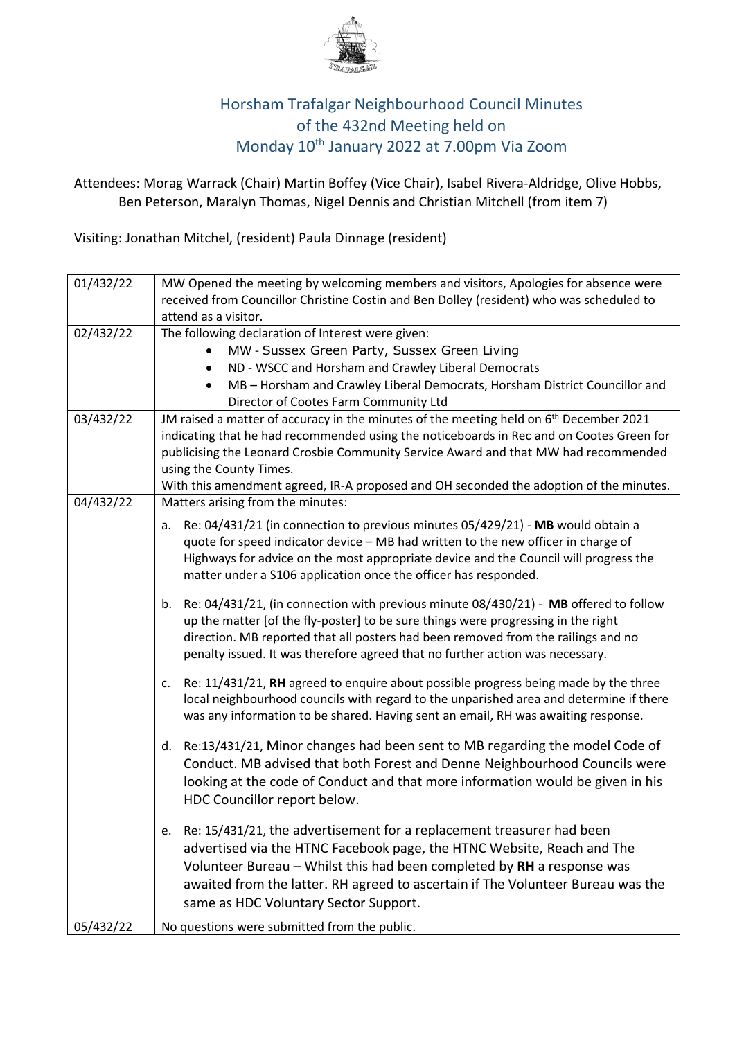

## Horsham Trafalgar Neighbourhood Council Minutes of the 432nd Meeting held on Monday 10th January 2022 at 7.00pm Via Zoom

 Attendees: Morag Warrack (Chair) Martin Boffey (Vice Chair), Isabel Rivera-Aldridge, Olive Hobbs, Ben Peterson, Maralyn Thomas, Nigel Dennis and Christian Mitchell (from item 7)

Visiting: Jonathan Mitchel, (resident) Paula Dinnage (resident)

| 01/432/22 | MW Opened the meeting by welcoming members and visitors, Apologies for absence were                |  |  |  |  |
|-----------|----------------------------------------------------------------------------------------------------|--|--|--|--|
|           | received from Councillor Christine Costin and Ben Dolley (resident) who was scheduled to           |  |  |  |  |
|           | attend as a visitor.                                                                               |  |  |  |  |
| 02/432/22 | The following declaration of Interest were given:                                                  |  |  |  |  |
|           | MW - Sussex Green Party, Sussex Green Living<br>٠                                                  |  |  |  |  |
|           | ND - WSCC and Horsham and Crawley Liberal Democrats<br>$\bullet$                                   |  |  |  |  |
|           | MB - Horsham and Crawley Liberal Democrats, Horsham District Councillor and<br>$\bullet$           |  |  |  |  |
|           | Director of Cootes Farm Community Ltd                                                              |  |  |  |  |
| 03/432/22 | JM raised a matter of accuracy in the minutes of the meeting held on 6 <sup>th</sup> December 2021 |  |  |  |  |
|           | indicating that he had recommended using the noticeboards in Rec and on Cootes Green for           |  |  |  |  |
|           | publicising the Leonard Crosbie Community Service Award and that MW had recommended                |  |  |  |  |
|           | using the County Times.                                                                            |  |  |  |  |
|           | With this amendment agreed, IR-A proposed and OH seconded the adoption of the minutes.             |  |  |  |  |
| 04/432/22 | Matters arising from the minutes:                                                                  |  |  |  |  |
|           | Re: 04/431/21 (in connection to previous minutes 05/429/21) - MB would obtain a<br>a.              |  |  |  |  |
|           | quote for speed indicator device - MB had written to the new officer in charge of                  |  |  |  |  |
|           | Highways for advice on the most appropriate device and the Council will progress the               |  |  |  |  |
|           | matter under a S106 application once the officer has responded.                                    |  |  |  |  |
|           | Re: 04/431/21, (in connection with previous minute 08/430/21) - MB offered to follow<br>b.         |  |  |  |  |
|           | up the matter [of the fly-poster] to be sure things were progressing in the right                  |  |  |  |  |
|           | direction. MB reported that all posters had been removed from the railings and no                  |  |  |  |  |
|           | penalty issued. It was therefore agreed that no further action was necessary.                      |  |  |  |  |
|           |                                                                                                    |  |  |  |  |
|           | Re: 11/431/21, RH agreed to enquire about possible progress being made by the three<br>c.          |  |  |  |  |
|           | local neighbourhood councils with regard to the unparished area and determine if there             |  |  |  |  |
|           | was any information to be shared. Having sent an email, RH was awaiting response.                  |  |  |  |  |
|           | Re:13/431/21, Minor changes had been sent to MB regarding the model Code of<br>d.                  |  |  |  |  |
|           | Conduct. MB advised that both Forest and Denne Neighbourhood Councils were                         |  |  |  |  |
|           | looking at the code of Conduct and that more information would be given in his                     |  |  |  |  |
|           | HDC Councillor report below.                                                                       |  |  |  |  |
|           |                                                                                                    |  |  |  |  |
|           | Re: 15/431/21, the advertisement for a replacement treasurer had been<br>e.                        |  |  |  |  |
|           | advertised via the HTNC Facebook page, the HTNC Website, Reach and The                             |  |  |  |  |
|           | Volunteer Bureau $-$ Whilst this had been completed by RH a response was                           |  |  |  |  |
|           | awaited from the latter. RH agreed to ascertain if The Volunteer Bureau was the                    |  |  |  |  |
|           | same as HDC Voluntary Sector Support.                                                              |  |  |  |  |
|           |                                                                                                    |  |  |  |  |
| 05/432/22 | No questions were submitted from the public.                                                       |  |  |  |  |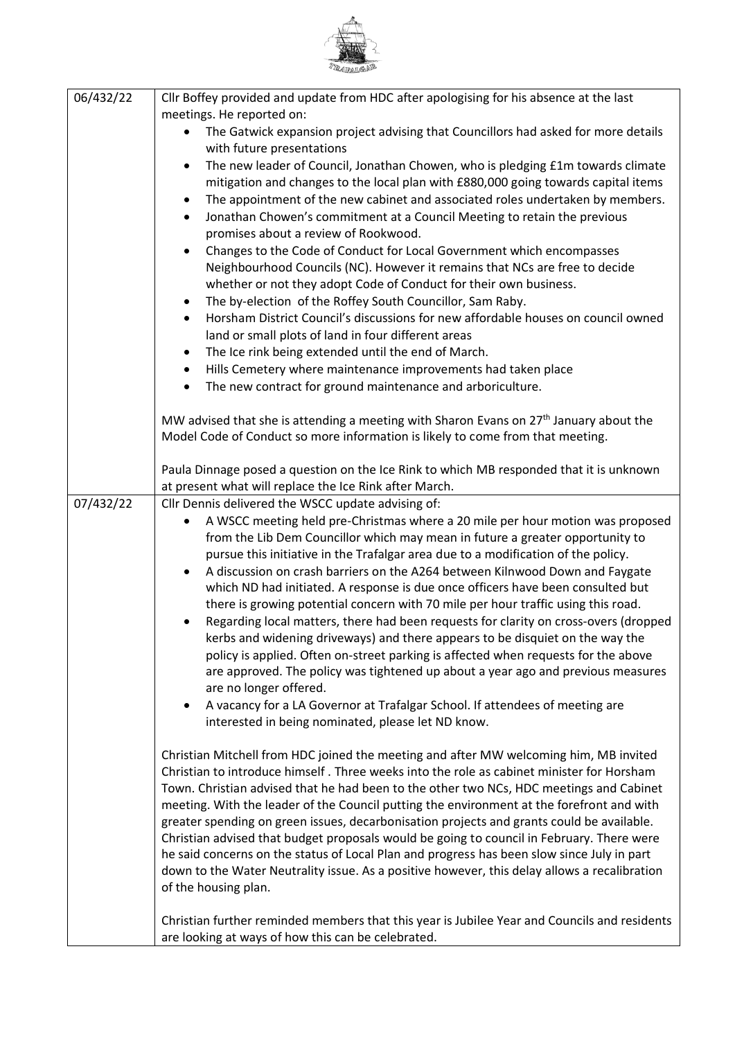

| 06/432/22 | Cllr Boffey provided and update from HDC after apologising for his absence at the last                                                                          |  |  |  |  |  |  |  |
|-----------|-----------------------------------------------------------------------------------------------------------------------------------------------------------------|--|--|--|--|--|--|--|
|           | meetings. He reported on:                                                                                                                                       |  |  |  |  |  |  |  |
|           | The Gatwick expansion project advising that Councillors had asked for more details<br>with future presentations                                                 |  |  |  |  |  |  |  |
|           | The new leader of Council, Jonathan Chowen, who is pledging £1m towards climate<br>$\bullet$                                                                    |  |  |  |  |  |  |  |
|           | mitigation and changes to the local plan with £880,000 going towards capital items                                                                              |  |  |  |  |  |  |  |
|           | The appointment of the new cabinet and associated roles undertaken by members.                                                                                  |  |  |  |  |  |  |  |
|           | Jonathan Chowen's commitment at a Council Meeting to retain the previous<br>promises about a review of Rookwood.                                                |  |  |  |  |  |  |  |
|           |                                                                                                                                                                 |  |  |  |  |  |  |  |
|           | Changes to the Code of Conduct for Local Government which encompasses<br>$\bullet$                                                                              |  |  |  |  |  |  |  |
|           | Neighbourhood Councils (NC). However it remains that NCs are free to decide                                                                                     |  |  |  |  |  |  |  |
|           | whether or not they adopt Code of Conduct for their own business.<br>The by-election of the Roffey South Councillor, Sam Raby.                                  |  |  |  |  |  |  |  |
|           | Horsham District Council's discussions for new affordable houses on council owned                                                                               |  |  |  |  |  |  |  |
|           | land or small plots of land in four different areas                                                                                                             |  |  |  |  |  |  |  |
|           | The Ice rink being extended until the end of March.                                                                                                             |  |  |  |  |  |  |  |
|           | Hills Cemetery where maintenance improvements had taken place                                                                                                   |  |  |  |  |  |  |  |
|           | The new contract for ground maintenance and arboriculture.                                                                                                      |  |  |  |  |  |  |  |
|           |                                                                                                                                                                 |  |  |  |  |  |  |  |
|           | MW advised that she is attending a meeting with Sharon Evans on 27 <sup>th</sup> January about the                                                              |  |  |  |  |  |  |  |
|           | Model Code of Conduct so more information is likely to come from that meeting.                                                                                  |  |  |  |  |  |  |  |
|           | Paula Dinnage posed a question on the Ice Rink to which MB responded that it is unknown                                                                         |  |  |  |  |  |  |  |
|           | at present what will replace the Ice Rink after March.                                                                                                          |  |  |  |  |  |  |  |
| 07/432/22 | Cllr Dennis delivered the WSCC update advising of:                                                                                                              |  |  |  |  |  |  |  |
|           | A WSCC meeting held pre-Christmas where a 20 mile per hour motion was proposed                                                                                  |  |  |  |  |  |  |  |
|           | from the Lib Dem Councillor which may mean in future a greater opportunity to                                                                                   |  |  |  |  |  |  |  |
|           | pursue this initiative in the Trafalgar area due to a modification of the policy.                                                                               |  |  |  |  |  |  |  |
|           | A discussion on crash barriers on the A264 between Kilnwood Down and Faygate<br>which ND had initiated. A response is due once officers have been consulted but |  |  |  |  |  |  |  |
|           | there is growing potential concern with 70 mile per hour traffic using this road.                                                                               |  |  |  |  |  |  |  |
|           | Regarding local matters, there had been requests for clarity on cross-overs (dropped                                                                            |  |  |  |  |  |  |  |
|           | kerbs and widening driveways) and there appears to be disquiet on the way the                                                                                   |  |  |  |  |  |  |  |
|           | policy is applied. Often on-street parking is affected when requests for the above                                                                              |  |  |  |  |  |  |  |
|           | are approved. The policy was tightened up about a year ago and previous measures                                                                                |  |  |  |  |  |  |  |
|           | are no longer offered.                                                                                                                                          |  |  |  |  |  |  |  |
|           | A vacancy for a LA Governor at Trafalgar School. If attendees of meeting are                                                                                    |  |  |  |  |  |  |  |
|           | interested in being nominated, please let ND know.                                                                                                              |  |  |  |  |  |  |  |
|           | Christian Mitchell from HDC joined the meeting and after MW welcoming him, MB invited                                                                           |  |  |  |  |  |  |  |
|           | Christian to introduce himself. Three weeks into the role as cabinet minister for Horsham                                                                       |  |  |  |  |  |  |  |
|           | Town. Christian advised that he had been to the other two NCs, HDC meetings and Cabinet                                                                         |  |  |  |  |  |  |  |
|           | meeting. With the leader of the Council putting the environment at the forefront and with                                                                       |  |  |  |  |  |  |  |
|           | greater spending on green issues, decarbonisation projects and grants could be available.                                                                       |  |  |  |  |  |  |  |
|           | Christian advised that budget proposals would be going to council in February. There were                                                                       |  |  |  |  |  |  |  |
|           | he said concerns on the status of Local Plan and progress has been slow since July in part                                                                      |  |  |  |  |  |  |  |
|           | down to the Water Neutrality issue. As a positive however, this delay allows a recalibration                                                                    |  |  |  |  |  |  |  |
|           | of the housing plan.                                                                                                                                            |  |  |  |  |  |  |  |
|           | Christian further reminded members that this year is Jubilee Year and Councils and residents                                                                    |  |  |  |  |  |  |  |
|           | are looking at ways of how this can be celebrated.                                                                                                              |  |  |  |  |  |  |  |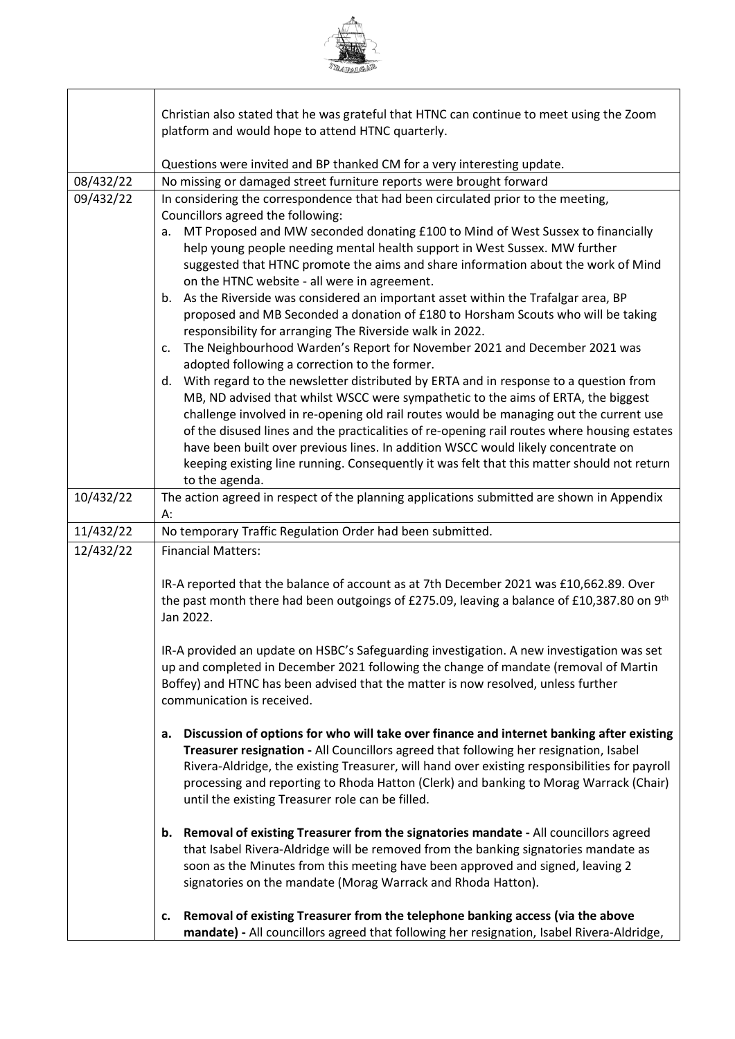

٦

|           | Christian also stated that he was grateful that HTNC can continue to meet using the Zoom                    |  |  |  |  |  |
|-----------|-------------------------------------------------------------------------------------------------------------|--|--|--|--|--|
|           | platform and would hope to attend HTNC quarterly.                                                           |  |  |  |  |  |
|           |                                                                                                             |  |  |  |  |  |
|           | Questions were invited and BP thanked CM for a very interesting update.                                     |  |  |  |  |  |
| 08/432/22 | No missing or damaged street furniture reports were brought forward                                         |  |  |  |  |  |
| 09/432/22 | In considering the correspondence that had been circulated prior to the meeting,                            |  |  |  |  |  |
|           | Councillors agreed the following:                                                                           |  |  |  |  |  |
|           | MT Proposed and MW seconded donating £100 to Mind of West Sussex to financially<br>a.                       |  |  |  |  |  |
|           | help young people needing mental health support in West Sussex. MW further                                  |  |  |  |  |  |
|           | suggested that HTNC promote the aims and share information about the work of Mind                           |  |  |  |  |  |
|           | on the HTNC website - all were in agreement.                                                                |  |  |  |  |  |
|           | As the Riverside was considered an important asset within the Trafalgar area, BP<br>b.                      |  |  |  |  |  |
|           | proposed and MB Seconded a donation of £180 to Horsham Scouts who will be taking                            |  |  |  |  |  |
|           | responsibility for arranging The Riverside walk in 2022.                                                    |  |  |  |  |  |
|           | The Neighbourhood Warden's Report for November 2021 and December 2021 was<br>$\mathsf{c}$ .                 |  |  |  |  |  |
|           | adopted following a correction to the former.                                                               |  |  |  |  |  |
|           | With regard to the newsletter distributed by ERTA and in response to a question from<br>d.                  |  |  |  |  |  |
|           | MB, ND advised that whilst WSCC were sympathetic to the aims of ERTA, the biggest                           |  |  |  |  |  |
|           | challenge involved in re-opening old rail routes would be managing out the current use                      |  |  |  |  |  |
|           | of the disused lines and the practicalities of re-opening rail routes where housing estates                 |  |  |  |  |  |
|           | have been built over previous lines. In addition WSCC would likely concentrate on                           |  |  |  |  |  |
|           | keeping existing line running. Consequently it was felt that this matter should not return                  |  |  |  |  |  |
| 10/432/22 | to the agenda.<br>The action agreed in respect of the planning applications submitted are shown in Appendix |  |  |  |  |  |
|           | А:                                                                                                          |  |  |  |  |  |
| 11/432/22 | No temporary Traffic Regulation Order had been submitted.                                                   |  |  |  |  |  |
| 12/432/22 | <b>Financial Matters:</b>                                                                                   |  |  |  |  |  |
|           |                                                                                                             |  |  |  |  |  |
|           | IR-A reported that the balance of account as at 7th December 2021 was £10,662.89. Over                      |  |  |  |  |  |
|           | the past month there had been outgoings of £275.09, leaving a balance of £10,387.80 on 9th                  |  |  |  |  |  |
|           | Jan 2022.                                                                                                   |  |  |  |  |  |
|           |                                                                                                             |  |  |  |  |  |
|           | IR-A provided an update on HSBC's Safeguarding investigation. A new investigation was set                   |  |  |  |  |  |
|           | up and completed in December 2021 following the change of mandate (removal of Martin                        |  |  |  |  |  |
|           | Boffey) and HTNC has been advised that the matter is now resolved, unless further                           |  |  |  |  |  |
|           | communication is received.                                                                                  |  |  |  |  |  |
|           |                                                                                                             |  |  |  |  |  |
|           | Discussion of options for who will take over finance and internet banking after existing<br>a.              |  |  |  |  |  |
|           | Treasurer resignation - All Councillors agreed that following her resignation, Isabel                       |  |  |  |  |  |
|           | Rivera-Aldridge, the existing Treasurer, will hand over existing responsibilities for payroll               |  |  |  |  |  |
|           | processing and reporting to Rhoda Hatton (Clerk) and banking to Morag Warrack (Chair)                       |  |  |  |  |  |
|           | until the existing Treasurer role can be filled.                                                            |  |  |  |  |  |
|           |                                                                                                             |  |  |  |  |  |
|           | Removal of existing Treasurer from the signatories mandate - All councillors agreed<br>b.                   |  |  |  |  |  |
|           | that Isabel Rivera-Aldridge will be removed from the banking signatories mandate as                         |  |  |  |  |  |
|           | soon as the Minutes from this meeting have been approved and signed, leaving 2                              |  |  |  |  |  |
|           | signatories on the mandate (Morag Warrack and Rhoda Hatton).                                                |  |  |  |  |  |
|           | Removal of existing Treasurer from the telephone banking access (via the above                              |  |  |  |  |  |
|           | c.<br>mandate) - All councillors agreed that following her resignation, Isabel Rivera-Aldridge,             |  |  |  |  |  |
|           |                                                                                                             |  |  |  |  |  |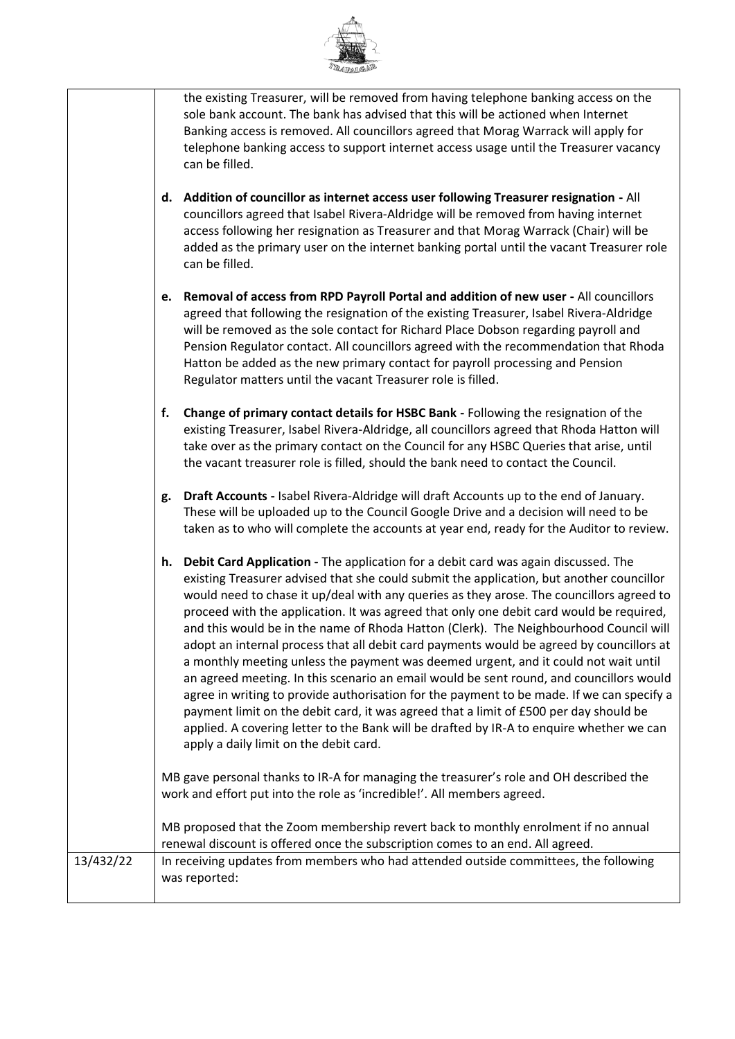

|           |                                                                                                                                                                      | the existing Treasurer, will be removed from having telephone banking access on the<br>sole bank account. The bank has advised that this will be actioned when Internet<br>Banking access is removed. All councillors agreed that Morag Warrack will apply for<br>telephone banking access to support internet access usage until the Treasurer vacancy<br>can be filled.                                                                                                                                                                                                                                                                                                                                                                                                                                                                                                                                                                                                                                                                                                |  |  |  |  |
|-----------|----------------------------------------------------------------------------------------------------------------------------------------------------------------------|--------------------------------------------------------------------------------------------------------------------------------------------------------------------------------------------------------------------------------------------------------------------------------------------------------------------------------------------------------------------------------------------------------------------------------------------------------------------------------------------------------------------------------------------------------------------------------------------------------------------------------------------------------------------------------------------------------------------------------------------------------------------------------------------------------------------------------------------------------------------------------------------------------------------------------------------------------------------------------------------------------------------------------------------------------------------------|--|--|--|--|
|           | d.                                                                                                                                                                   | Addition of councillor as internet access user following Treasurer resignation - All<br>councillors agreed that Isabel Rivera-Aldridge will be removed from having internet<br>access following her resignation as Treasurer and that Morag Warrack (Chair) will be<br>added as the primary user on the internet banking portal until the vacant Treasurer role<br>can be filled.                                                                                                                                                                                                                                                                                                                                                                                                                                                                                                                                                                                                                                                                                        |  |  |  |  |
|           | e.                                                                                                                                                                   | Removal of access from RPD Payroll Portal and addition of new user - All councillors<br>agreed that following the resignation of the existing Treasurer, Isabel Rivera-Aldridge<br>will be removed as the sole contact for Richard Place Dobson regarding payroll and<br>Pension Regulator contact. All councillors agreed with the recommendation that Rhoda<br>Hatton be added as the new primary contact for payroll processing and Pension<br>Regulator matters until the vacant Treasurer role is filled.                                                                                                                                                                                                                                                                                                                                                                                                                                                                                                                                                           |  |  |  |  |
|           | f.                                                                                                                                                                   | Change of primary contact details for HSBC Bank - Following the resignation of the<br>existing Treasurer, Isabel Rivera-Aldridge, all councillors agreed that Rhoda Hatton will<br>take over as the primary contact on the Council for any HSBC Queries that arise, until<br>the vacant treasurer role is filled, should the bank need to contact the Council.                                                                                                                                                                                                                                                                                                                                                                                                                                                                                                                                                                                                                                                                                                           |  |  |  |  |
|           | g.                                                                                                                                                                   | Draft Accounts - Isabel Rivera-Aldridge will draft Accounts up to the end of January.<br>These will be uploaded up to the Council Google Drive and a decision will need to be<br>taken as to who will complete the accounts at year end, ready for the Auditor to review.                                                                                                                                                                                                                                                                                                                                                                                                                                                                                                                                                                                                                                                                                                                                                                                                |  |  |  |  |
|           | h.                                                                                                                                                                   | Debit Card Application - The application for a debit card was again discussed. The<br>existing Treasurer advised that she could submit the application, but another councillor<br>would need to chase it up/deal with any queries as they arose. The councillors agreed to<br>proceed with the application. It was agreed that only one debit card would be required,<br>and this would be in the name of Rhoda Hatton (Clerk). The Neighbourhood Council will<br>adopt an internal process that all debit card payments would be agreed by councillors at<br>a monthly meeting unless the payment was deemed urgent, and it could not wait until<br>an agreed meeting. In this scenario an email would be sent round, and councillors would<br>agree in writing to provide authorisation for the payment to be made. If we can specify a<br>payment limit on the debit card, it was agreed that a limit of £500 per day should be<br>applied. A covering letter to the Bank will be drafted by IR-A to enquire whether we can<br>apply a daily limit on the debit card. |  |  |  |  |
|           |                                                                                                                                                                      | MB gave personal thanks to IR-A for managing the treasurer's role and OH described the<br>work and effort put into the role as 'incredible!'. All members agreed.                                                                                                                                                                                                                                                                                                                                                                                                                                                                                                                                                                                                                                                                                                                                                                                                                                                                                                        |  |  |  |  |
|           | MB proposed that the Zoom membership revert back to monthly enrolment if no annual<br>renewal discount is offered once the subscription comes to an end. All agreed. |                                                                                                                                                                                                                                                                                                                                                                                                                                                                                                                                                                                                                                                                                                                                                                                                                                                                                                                                                                                                                                                                          |  |  |  |  |
| 13/432/22 |                                                                                                                                                                      | In receiving updates from members who had attended outside committees, the following<br>was reported:                                                                                                                                                                                                                                                                                                                                                                                                                                                                                                                                                                                                                                                                                                                                                                                                                                                                                                                                                                    |  |  |  |  |
|           |                                                                                                                                                                      |                                                                                                                                                                                                                                                                                                                                                                                                                                                                                                                                                                                                                                                                                                                                                                                                                                                                                                                                                                                                                                                                          |  |  |  |  |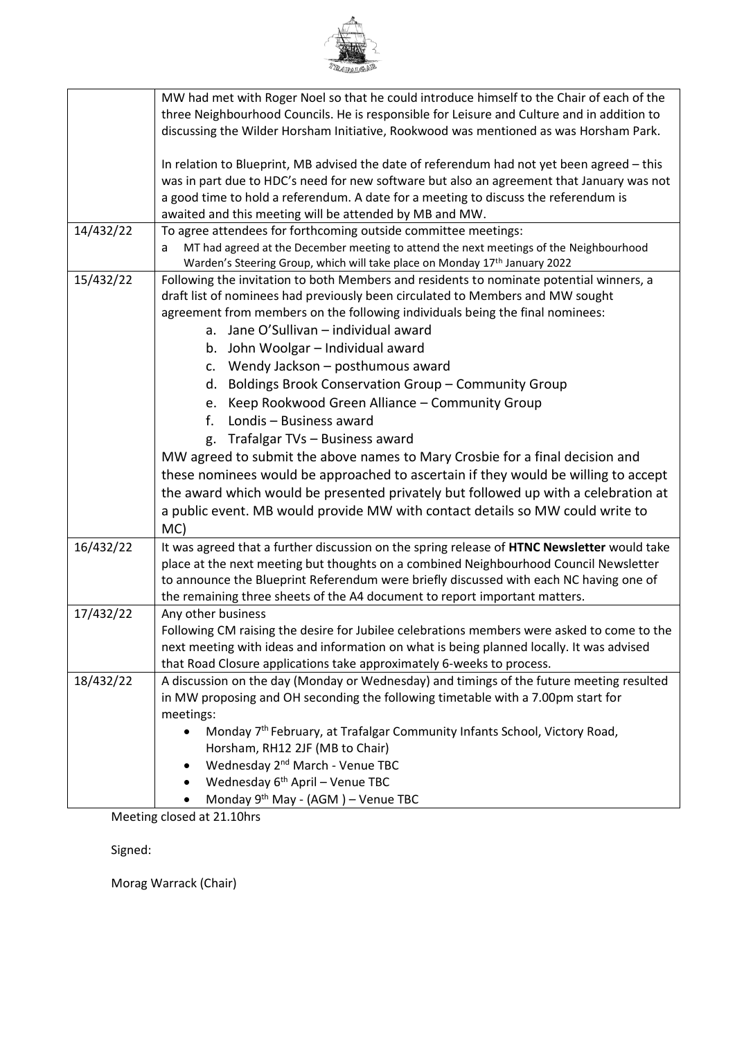

|           | MW had met with Roger Noel so that he could introduce himself to the Chair of each of the     |  |  |  |  |  |  |
|-----------|-----------------------------------------------------------------------------------------------|--|--|--|--|--|--|
|           | three Neighbourhood Councils. He is responsible for Leisure and Culture and in addition to    |  |  |  |  |  |  |
|           | discussing the Wilder Horsham Initiative, Rookwood was mentioned as was Horsham Park.         |  |  |  |  |  |  |
|           | In relation to Blueprint, MB advised the date of referendum had not yet been agreed - this    |  |  |  |  |  |  |
|           | was in part due to HDC's need for new software but also an agreement that January was not     |  |  |  |  |  |  |
|           | a good time to hold a referendum. A date for a meeting to discuss the referendum is           |  |  |  |  |  |  |
|           | awaited and this meeting will be attended by MB and MW.                                       |  |  |  |  |  |  |
| 14/432/22 | To agree attendees for forthcoming outside committee meetings:                                |  |  |  |  |  |  |
|           | MT had agreed at the December meeting to attend the next meetings of the Neighbourhood<br>a   |  |  |  |  |  |  |
|           | Warden's Steering Group, which will take place on Monday 17 <sup>th</sup> January 2022        |  |  |  |  |  |  |
| 15/432/22 | Following the invitation to both Members and residents to nominate potential winners, a       |  |  |  |  |  |  |
|           | draft list of nominees had previously been circulated to Members and MW sought                |  |  |  |  |  |  |
|           | agreement from members on the following individuals being the final nominees:                 |  |  |  |  |  |  |
|           | a. Jane O'Sullivan - individual award                                                         |  |  |  |  |  |  |
|           | b. John Woolgar - Individual award                                                            |  |  |  |  |  |  |
|           | c. Wendy Jackson - posthumous award                                                           |  |  |  |  |  |  |
|           | d. Boldings Brook Conservation Group - Community Group                                        |  |  |  |  |  |  |
|           | e. Keep Rookwood Green Alliance - Community Group                                             |  |  |  |  |  |  |
|           | Londis - Business award<br>$f_{\cdot}$                                                        |  |  |  |  |  |  |
|           | g. Trafalgar TVs - Business award                                                             |  |  |  |  |  |  |
|           | MW agreed to submit the above names to Mary Crosbie for a final decision and                  |  |  |  |  |  |  |
|           | these nominees would be approached to ascertain if they would be willing to accept            |  |  |  |  |  |  |
|           | the award which would be presented privately but followed up with a celebration at            |  |  |  |  |  |  |
|           | a public event. MB would provide MW with contact details so MW could write to                 |  |  |  |  |  |  |
|           | MC)                                                                                           |  |  |  |  |  |  |
| 16/432/22 | It was agreed that a further discussion on the spring release of HTNC Newsletter would take   |  |  |  |  |  |  |
|           | place at the next meeting but thoughts on a combined Neighbourhood Council Newsletter         |  |  |  |  |  |  |
|           | to announce the Blueprint Referendum were briefly discussed with each NC having one of        |  |  |  |  |  |  |
|           | the remaining three sheets of the A4 document to report important matters.                    |  |  |  |  |  |  |
| 17/432/22 | Any other business                                                                            |  |  |  |  |  |  |
|           | Following CM raising the desire for Jubilee celebrations members were asked to come to the    |  |  |  |  |  |  |
|           | next meeting with ideas and information on what is being planned locally. It was advised      |  |  |  |  |  |  |
|           | that Road Closure applications take approximately 6-weeks to process.                         |  |  |  |  |  |  |
| 18/432/22 | A discussion on the day (Monday or Wednesday) and timings of the future meeting resulted      |  |  |  |  |  |  |
|           | in MW proposing and OH seconding the following timetable with a 7.00pm start for<br>meetings: |  |  |  |  |  |  |
|           | Monday 7 <sup>th</sup> February, at Trafalgar Community Infants School, Victory Road,         |  |  |  |  |  |  |
|           | Horsham, RH12 2JF (MB to Chair)                                                               |  |  |  |  |  |  |
|           | Wednesday 2 <sup>nd</sup> March - Venue TBC                                                   |  |  |  |  |  |  |
|           | Wednesday 6 <sup>th</sup> April - Venue TBC                                                   |  |  |  |  |  |  |
|           | Monday 9th May - (AGM) - Venue TBC                                                            |  |  |  |  |  |  |
|           |                                                                                               |  |  |  |  |  |  |

Meeting closed at 21.10hrs

Signed:

Morag Warrack (Chair)